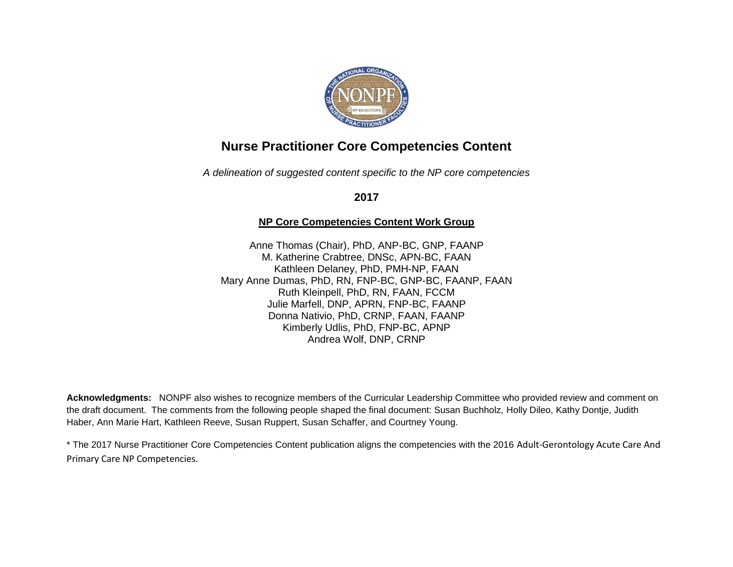

## **Nurse Practitioner Core Competencies Content**

*A delineation of suggested content specific to the NP core competencies*

**2017**

## **NP Core Competencies Content Work Group**

Anne Thomas (Chair), PhD, ANP-BC, GNP, FAANP M. Katherine Crabtree, DNSc, APN-BC, FAAN Kathleen Delaney, PhD, PMH-NP, FAAN Mary Anne Dumas, PhD, RN, FNP-BC, GNP-BC, FAANP, FAAN Ruth Kleinpell, PhD, RN, FAAN, FCCM Julie Marfell, DNP, APRN, FNP-BC, FAANP Donna Nativio, PhD, CRNP, FAAN, FAANP Kimberly Udlis, PhD, FNP-BC, APNP Andrea Wolf, DNP, CRNP

**Acknowledgments:** NONPF also wishes to recognize members of the Curricular Leadership Committee who provided review and comment on the draft document. The comments from the following people shaped the final document: Susan Buchholz, Holly Dileo, Kathy Dontje, Judith Haber, Ann Marie Hart, Kathleen Reeve, Susan Ruppert, Susan Schaffer, and Courtney Young.

\* The 2017 Nurse Practitioner Core Competencies Content publication aligns the competencies with the 2016 Adult-Gerontology Acute Care And Primary Care NP Competencies.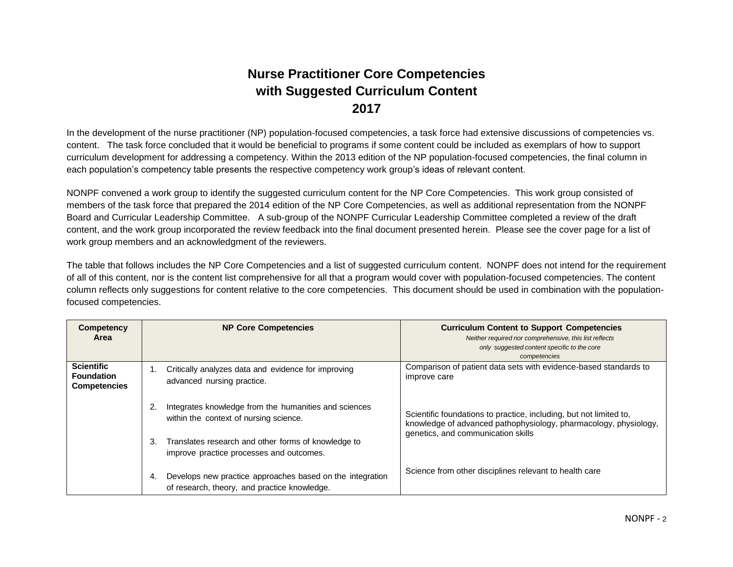## **Nurse Practitioner Core Competencies with Suggested Curriculum Content 2017**

In the development of the nurse practitioner (NP) population-focused competencies, a task force had extensive discussions of competencies vs. content. The task force concluded that it would be beneficial to programs if some content could be included as exemplars of how to support curriculum development for addressing a competency. Within the 2013 edition of the NP population-focused competencies, the final column in each population's competency table presents the respective competency work group's ideas of relevant content.

NONPF convened a work group to identify the suggested curriculum content for the NP Core Competencies. This work group consisted of members of the task force that prepared the 2014 edition of the NP Core Competencies, as well as additional representation from the NONPF Board and Curricular Leadership Committee. A sub-group of the NONPF Curricular Leadership Committee completed a review of the draft content, and the work group incorporated the review feedback into the final document presented herein. Please see the cover page for a list of work group members and an acknowledgment of the reviewers.

The table that follows includes the NP Core Competencies and a list of suggested curriculum content. NONPF does not intend for the requirement of all of this content, nor is the content list comprehensive for all that a program would cover with population-focused competencies. The content column reflects only suggestions for content relative to the core competencies. This document should be used in combination with the populationfocused competencies.

| Competency<br><b>Area</b>                                     | <b>NP Core Competencies</b>                                                                                     | <b>Curriculum Content to Support Competencies</b><br>Neither required nor comprehensive, this list reflects<br>only suggested content specific to the core<br>competencies |
|---------------------------------------------------------------|-----------------------------------------------------------------------------------------------------------------|----------------------------------------------------------------------------------------------------------------------------------------------------------------------------|
| <b>Scientific</b><br><b>Foundation</b><br><b>Competencies</b> | Critically analyzes data and evidence for improving<br>advanced nursing practice.                               | Comparison of patient data sets with evidence-based standards to<br>improve care                                                                                           |
|                                                               | Integrates knowledge from the humanities and sciences<br>within the context of nursing science.                 | Scientific foundations to practice, including, but not limited to,<br>knowledge of advanced pathophysiology, pharmacology, physiology,                                     |
|                                                               | Translates research and other forms of knowledge to<br>3.<br>improve practice processes and outcomes.           | genetics, and communication skills                                                                                                                                         |
|                                                               | Develops new practice approaches based on the integration<br>4.<br>of research, theory, and practice knowledge. | Science from other disciplines relevant to health care                                                                                                                     |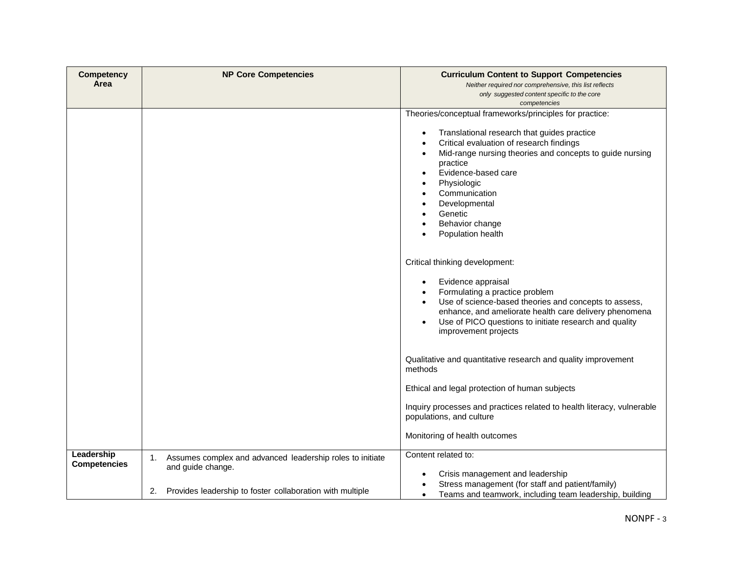| <b>Competency</b><br>Area         | <b>NP Core Competencies</b>                                                          | <b>Curriculum Content to Support Competencies</b><br>Neither required nor comprehensive, this list reflects                                                                                                                                                                                             |
|-----------------------------------|--------------------------------------------------------------------------------------|---------------------------------------------------------------------------------------------------------------------------------------------------------------------------------------------------------------------------------------------------------------------------------------------------------|
|                                   |                                                                                      | only suggested content specific to the core<br>competencies                                                                                                                                                                                                                                             |
|                                   |                                                                                      | Theories/conceptual frameworks/principles for practice:                                                                                                                                                                                                                                                 |
|                                   |                                                                                      | Translational research that guides practice<br>$\bullet$<br>Critical evaluation of research findings<br>Mid-range nursing theories and concepts to guide nursing<br>practice<br>Evidence-based care<br>Physiologic<br>Communication<br>Developmental<br>Genetic<br>Behavior change<br>Population health |
|                                   |                                                                                      | Critical thinking development:                                                                                                                                                                                                                                                                          |
|                                   |                                                                                      | Evidence appraisal<br>Formulating a practice problem<br>Use of science-based theories and concepts to assess,<br>enhance, and ameliorate health care delivery phenomena<br>Use of PICO questions to initiate research and quality<br>improvement projects                                               |
|                                   |                                                                                      | Qualitative and quantitative research and quality improvement<br>methods                                                                                                                                                                                                                                |
|                                   |                                                                                      | Ethical and legal protection of human subjects                                                                                                                                                                                                                                                          |
|                                   |                                                                                      | Inquiry processes and practices related to health literacy, vulnerable<br>populations, and culture                                                                                                                                                                                                      |
|                                   |                                                                                      | Monitoring of health outcomes                                                                                                                                                                                                                                                                           |
| Leadership<br><b>Competencies</b> | Assumes complex and advanced leadership roles to initiate<br>1.<br>and guide change. | Content related to:                                                                                                                                                                                                                                                                                     |
|                                   | 2.<br>Provides leadership to foster collaboration with multiple                      | Crisis management and leadership<br>Stress management (for staff and patient/family)<br>Teams and teamwork, including team leadership, building<br>$\bullet$                                                                                                                                            |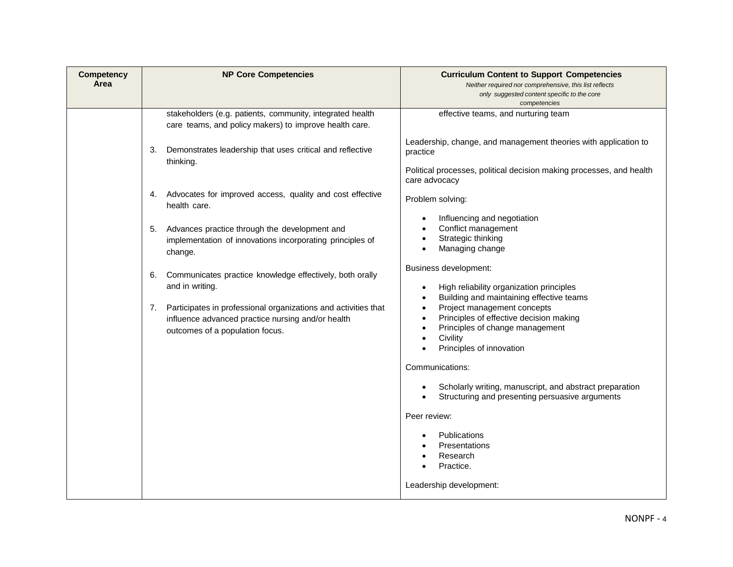| <b>Competency</b><br>Area | <b>NP Core Competencies</b>                                                                                                                                                                                                                                                                                                                                                                                                                                                                                                                                                                                                                                                | <b>Curriculum Content to Support Competencies</b><br>Neither required nor comprehensive, this list reflects<br>only suggested content specific to the core<br>competencies                                                                                                                                                                                                                                                                                                                                                                                                                                                                                                                                                                                                                                                                                                                                                                                       |
|---------------------------|----------------------------------------------------------------------------------------------------------------------------------------------------------------------------------------------------------------------------------------------------------------------------------------------------------------------------------------------------------------------------------------------------------------------------------------------------------------------------------------------------------------------------------------------------------------------------------------------------------------------------------------------------------------------------|------------------------------------------------------------------------------------------------------------------------------------------------------------------------------------------------------------------------------------------------------------------------------------------------------------------------------------------------------------------------------------------------------------------------------------------------------------------------------------------------------------------------------------------------------------------------------------------------------------------------------------------------------------------------------------------------------------------------------------------------------------------------------------------------------------------------------------------------------------------------------------------------------------------------------------------------------------------|
|                           | stakeholders (e.g. patients, community, integrated health<br>care teams, and policy makers) to improve health care.<br>Demonstrates leadership that uses critical and reflective<br>3.<br>thinking.<br>Advocates for improved access, quality and cost effective<br>4.<br>health care.<br>Advances practice through the development and<br>5.<br>implementation of innovations incorporating principles of<br>change.<br>Communicates practice knowledge effectively, both orally<br>6.<br>and in writing.<br>Participates in professional organizations and activities that<br>7.<br>influence advanced practice nursing and/or health<br>outcomes of a population focus. | effective teams, and nurturing team<br>Leadership, change, and management theories with application to<br>practice<br>Political processes, political decision making processes, and health<br>care advocacy<br>Problem solving:<br>Influencing and negotiation<br>$\bullet$<br>Conflict management<br>Strategic thinking<br>$\bullet$<br>Managing change<br>$\bullet$<br>Business development:<br>High reliability organization principles<br>$\bullet$<br>Building and maintaining effective teams<br>$\bullet$<br>Project management concepts<br>$\bullet$<br>Principles of effective decision making<br>$\bullet$<br>Principles of change management<br>$\bullet$<br>Civility<br>Principles of innovation<br>Communications:<br>Scholarly writing, manuscript, and abstract preparation<br>Structuring and presenting persuasive arguments<br>Peer review:<br><b>Publications</b><br><b>Presentations</b><br>Research<br>Practice.<br>Leadership development: |
|                           |                                                                                                                                                                                                                                                                                                                                                                                                                                                                                                                                                                                                                                                                            |                                                                                                                                                                                                                                                                                                                                                                                                                                                                                                                                                                                                                                                                                                                                                                                                                                                                                                                                                                  |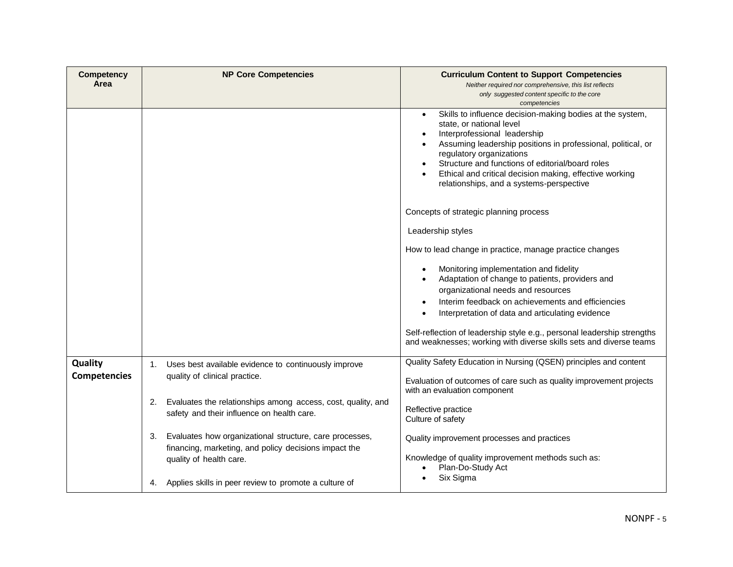| <b>Competency</b><br>Area      | <b>NP Core Competencies</b>                                                                                                                       | <b>Curriculum Content to Support Competencies</b><br>Neither required nor comprehensive, this list reflects<br>only suggested content specific to the core<br>competencies                                                                                                                                                                                                                                          |
|--------------------------------|---------------------------------------------------------------------------------------------------------------------------------------------------|---------------------------------------------------------------------------------------------------------------------------------------------------------------------------------------------------------------------------------------------------------------------------------------------------------------------------------------------------------------------------------------------------------------------|
|                                |                                                                                                                                                   | Skills to influence decision-making bodies at the system,<br>$\bullet$<br>state, or national level<br>Interprofessional leadership<br>$\bullet$<br>Assuming leadership positions in professional, political, or<br>$\bullet$<br>regulatory organizations<br>Structure and functions of editorial/board roles<br>Ethical and critical decision making, effective working<br>relationships, and a systems-perspective |
|                                |                                                                                                                                                   | Concepts of strategic planning process<br>Leadership styles                                                                                                                                                                                                                                                                                                                                                         |
|                                |                                                                                                                                                   | How to lead change in practice, manage practice changes                                                                                                                                                                                                                                                                                                                                                             |
|                                |                                                                                                                                                   | Monitoring implementation and fidelity<br>Adaptation of change to patients, providers and<br>$\bullet$<br>organizational needs and resources<br>Interim feedback on achievements and efficiencies<br>$\bullet$<br>Interpretation of data and articulating evidence<br>$\bullet$                                                                                                                                     |
|                                |                                                                                                                                                   | Self-reflection of leadership style e.g., personal leadership strengths<br>and weaknesses; working with diverse skills sets and diverse teams                                                                                                                                                                                                                                                                       |
| Quality<br><b>Competencies</b> | Uses best available evidence to continuously improve<br>1.<br>quality of clinical practice.                                                       | Quality Safety Education in Nursing (QSEN) principles and content<br>Evaluation of outcomes of care such as quality improvement projects<br>with an evaluation component                                                                                                                                                                                                                                            |
|                                | Evaluates the relationships among access, cost, quality, and<br>2.<br>safety and their influence on health care.                                  | Reflective practice<br>Culture of safety                                                                                                                                                                                                                                                                                                                                                                            |
|                                | Evaluates how organizational structure, care processes,<br>3.<br>financing, marketing, and policy decisions impact the<br>quality of health care. | Quality improvement processes and practices<br>Knowledge of quality improvement methods such as:<br>Plan-Do-Study Act                                                                                                                                                                                                                                                                                               |
|                                | Applies skills in peer review to promote a culture of<br>4.                                                                                       | Six Sigma                                                                                                                                                                                                                                                                                                                                                                                                           |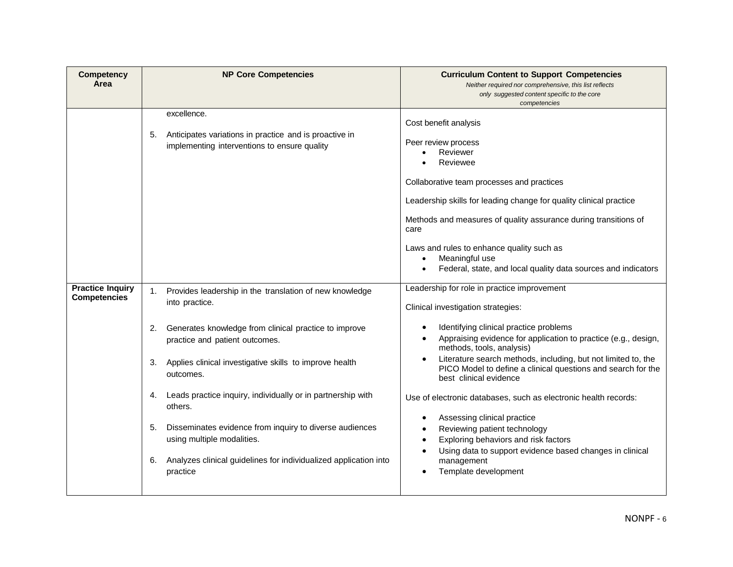| <b>Competency</b><br>Area                      | <b>NP Core Competencies</b>                                                                                                                                                                                                                                                                                                                                                                                                                                                                                                                     | <b>Curriculum Content to Support Competencies</b><br>Neither required nor comprehensive, this list reflects<br>only suggested content specific to the core<br>competencies                                                                                                                                                                                                                                                                                                                                                                                                                                                                                                                                                                                   |
|------------------------------------------------|-------------------------------------------------------------------------------------------------------------------------------------------------------------------------------------------------------------------------------------------------------------------------------------------------------------------------------------------------------------------------------------------------------------------------------------------------------------------------------------------------------------------------------------------------|--------------------------------------------------------------------------------------------------------------------------------------------------------------------------------------------------------------------------------------------------------------------------------------------------------------------------------------------------------------------------------------------------------------------------------------------------------------------------------------------------------------------------------------------------------------------------------------------------------------------------------------------------------------------------------------------------------------------------------------------------------------|
|                                                | excellence.<br>Anticipates variations in practice and is proactive in<br>5.<br>implementing interventions to ensure quality                                                                                                                                                                                                                                                                                                                                                                                                                     | Cost benefit analysis<br>Peer review process<br>Reviewer<br>Reviewee<br>Collaborative team processes and practices<br>Leadership skills for leading change for quality clinical practice<br>Methods and measures of quality assurance during transitions of<br>care<br>Laws and rules to enhance quality such as<br>Meaningful use<br>$\bullet$<br>Federal, state, and local quality data sources and indicators<br>$\bullet$                                                                                                                                                                                                                                                                                                                                |
| <b>Practice Inquiry</b><br><b>Competencies</b> | 1 <sup>1</sup><br>Provides leadership in the translation of new knowledge<br>into practice.<br>Generates knowledge from clinical practice to improve<br>2.<br>practice and patient outcomes.<br>Applies clinical investigative skills to improve health<br>3.<br>outcomes.<br>Leads practice inquiry, individually or in partnership with<br>4.<br>others.<br>Disseminates evidence from inquiry to diverse audiences<br>5.<br>using multiple modalities.<br>Analyzes clinical guidelines for individualized application into<br>6.<br>practice | Leadership for role in practice improvement<br>Clinical investigation strategies:<br>Identifying clinical practice problems<br>$\bullet$<br>Appraising evidence for application to practice (e.g., design,<br>$\bullet$<br>methods, tools, analysis)<br>Literature search methods, including, but not limited to, the<br>$\bullet$<br>PICO Model to define a clinical questions and search for the<br>best clinical evidence<br>Use of electronic databases, such as electronic health records:<br>Assessing clinical practice<br>$\bullet$<br>Reviewing patient technology<br>Exploring behaviors and risk factors<br>$\bullet$<br>Using data to support evidence based changes in clinical<br>$\bullet$<br>management<br>Template development<br>$\bullet$ |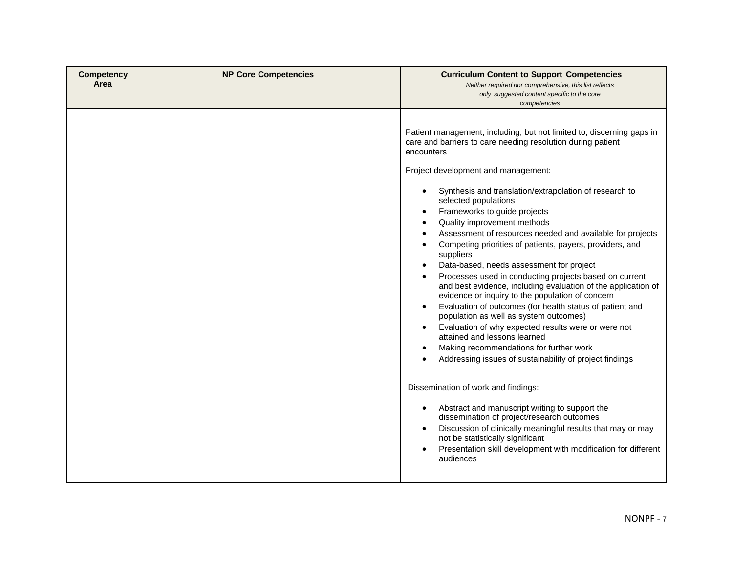| <b>Competency</b><br>Area | <b>NP Core Competencies</b> | <b>Curriculum Content to Support Competencies</b><br>Neither required nor comprehensive, this list reflects<br>only suggested content specific to the core<br>competencies                                                                                                                                                                                                                                                                                                                                                                                                                                                                                                                                                                                                                                                                                                                                                                                                                                                                                                                                                                                                                                                                                                                                                                                                                                                                                                                          |
|---------------------------|-----------------------------|-----------------------------------------------------------------------------------------------------------------------------------------------------------------------------------------------------------------------------------------------------------------------------------------------------------------------------------------------------------------------------------------------------------------------------------------------------------------------------------------------------------------------------------------------------------------------------------------------------------------------------------------------------------------------------------------------------------------------------------------------------------------------------------------------------------------------------------------------------------------------------------------------------------------------------------------------------------------------------------------------------------------------------------------------------------------------------------------------------------------------------------------------------------------------------------------------------------------------------------------------------------------------------------------------------------------------------------------------------------------------------------------------------------------------------------------------------------------------------------------------------|
|                           |                             | Patient management, including, but not limited to, discerning gaps in<br>care and barriers to care needing resolution during patient<br>encounters<br>Project development and management:<br>Synthesis and translation/extrapolation of research to<br>$\bullet$<br>selected populations<br>Frameworks to guide projects<br>$\bullet$<br>Quality improvement methods<br>$\bullet$<br>Assessment of resources needed and available for projects<br>$\bullet$<br>Competing priorities of patients, payers, providers, and<br>suppliers<br>Data-based, needs assessment for project<br>$\bullet$<br>Processes used in conducting projects based on current<br>$\bullet$<br>and best evidence, including evaluation of the application of<br>evidence or inquiry to the population of concern<br>Evaluation of outcomes (for health status of patient and<br>$\bullet$<br>population as well as system outcomes)<br>Evaluation of why expected results were or were not<br>$\bullet$<br>attained and lessons learned<br>Making recommendations for further work<br>$\bullet$<br>Addressing issues of sustainability of project findings<br>Dissemination of work and findings:<br>Abstract and manuscript writing to support the<br>$\bullet$<br>dissemination of project/research outcomes<br>Discussion of clinically meaningful results that may or may<br>$\bullet$<br>not be statistically significant<br>Presentation skill development with modification for different<br>$\bullet$<br>audiences |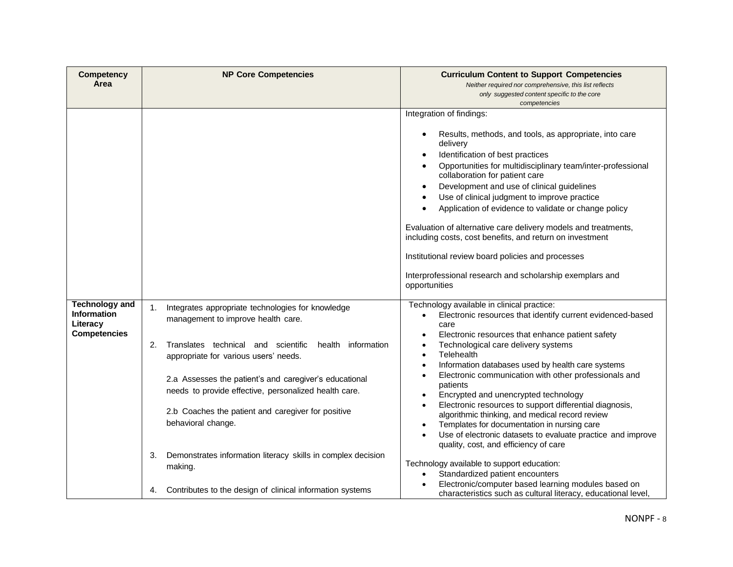| <b>Competency</b><br>Area                                                      | <b>NP Core Competencies</b>                                                                                                                                                                                                                                                                                                                                                                                                                                                                                                                                  | <b>Curriculum Content to Support Competencies</b><br>Neither required nor comprehensive, this list reflects<br>only suggested content specific to the core<br>competencies                                                                                                                                                                                                                                                                                                                                                                                                                                                                                                                                                                                                                                                                                                                                                                                                     |
|--------------------------------------------------------------------------------|--------------------------------------------------------------------------------------------------------------------------------------------------------------------------------------------------------------------------------------------------------------------------------------------------------------------------------------------------------------------------------------------------------------------------------------------------------------------------------------------------------------------------------------------------------------|--------------------------------------------------------------------------------------------------------------------------------------------------------------------------------------------------------------------------------------------------------------------------------------------------------------------------------------------------------------------------------------------------------------------------------------------------------------------------------------------------------------------------------------------------------------------------------------------------------------------------------------------------------------------------------------------------------------------------------------------------------------------------------------------------------------------------------------------------------------------------------------------------------------------------------------------------------------------------------|
|                                                                                |                                                                                                                                                                                                                                                                                                                                                                                                                                                                                                                                                              | Integration of findings:<br>Results, methods, and tools, as appropriate, into care<br>$\bullet$<br>delivery<br>Identification of best practices<br>$\bullet$<br>Opportunities for multidisciplinary team/inter-professional<br>٠<br>collaboration for patient care<br>Development and use of clinical guidelines<br>$\bullet$<br>Use of clinical judgment to improve practice<br>Application of evidence to validate or change policy<br>$\bullet$<br>Evaluation of alternative care delivery models and treatments,<br>including costs, cost benefits, and return on investment<br>Institutional review board policies and processes<br>Interprofessional research and scholarship exemplars and<br>opportunities                                                                                                                                                                                                                                                             |
| <b>Technology and</b><br><b>Information</b><br>Literacy<br><b>Competencies</b> | Integrates appropriate technologies for knowledge<br>1.<br>management to improve health care.<br>Translates technical and scientific<br>2.<br>health information<br>appropriate for various users' needs.<br>2.a Assesses the patient's and caregiver's educational<br>needs to provide effective, personalized health care.<br>2.b Coaches the patient and caregiver for positive<br>behavioral change.<br>Demonstrates information literacy skills in complex decision<br>3.<br>making.<br>Contributes to the design of clinical information systems<br>4. | Technology available in clinical practice:<br>Electronic resources that identify current evidenced-based<br>$\bullet$<br>care<br>Electronic resources that enhance patient safety<br>٠<br>Technological care delivery systems<br>٠<br>Telehealth<br>$\bullet$<br>Information databases used by health care systems<br>Electronic communication with other professionals and<br>$\bullet$<br>patients<br>Encrypted and unencrypted technology<br>$\bullet$<br>Electronic resources to support differential diagnosis,<br>$\bullet$<br>algorithmic thinking, and medical record review<br>Templates for documentation in nursing care<br>Use of electronic datasets to evaluate practice and improve<br>$\bullet$<br>quality, cost, and efficiency of care<br>Technology available to support education:<br>Standardized patient encounters<br>$\bullet$<br>Electronic/computer based learning modules based on<br>characteristics such as cultural literacy, educational level, |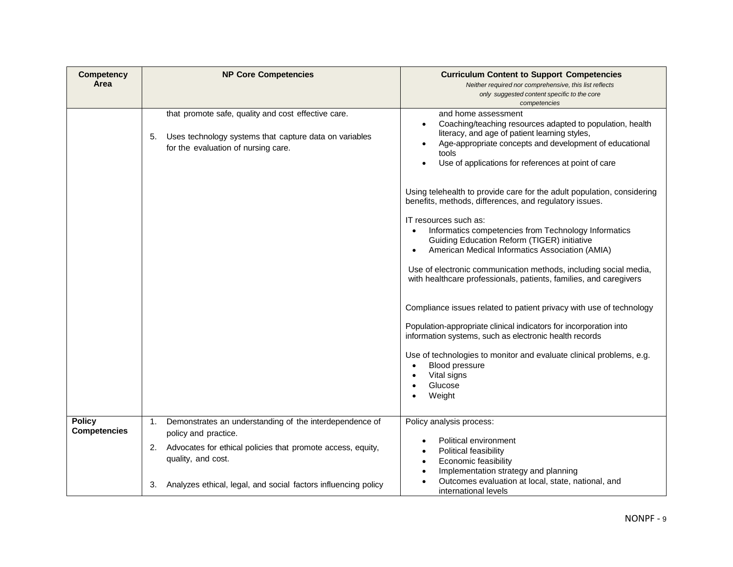| <b>Competency</b><br>Area            | <b>NP Core Competencies</b>                                                                                                                                                                                                                              | <b>Curriculum Content to Support Competencies</b><br>Neither required nor comprehensive, this list reflects<br>only suggested content specific to the core<br>competencies                                                                                                                                                                                                                                                                                                                                                                                                                                                                                                                                                                                                                                                                                                                                                                                                                                                                                                                                                 |
|--------------------------------------|----------------------------------------------------------------------------------------------------------------------------------------------------------------------------------------------------------------------------------------------------------|----------------------------------------------------------------------------------------------------------------------------------------------------------------------------------------------------------------------------------------------------------------------------------------------------------------------------------------------------------------------------------------------------------------------------------------------------------------------------------------------------------------------------------------------------------------------------------------------------------------------------------------------------------------------------------------------------------------------------------------------------------------------------------------------------------------------------------------------------------------------------------------------------------------------------------------------------------------------------------------------------------------------------------------------------------------------------------------------------------------------------|
|                                      | that promote safe, quality and cost effective care.<br>Uses technology systems that capture data on variables<br>5.<br>for the evaluation of nursing care.                                                                                               | and home assessment<br>Coaching/teaching resources adapted to population, health<br>$\bullet$<br>literacy, and age of patient learning styles,<br>Age-appropriate concepts and development of educational<br>$\bullet$<br>tools<br>Use of applications for references at point of care<br>$\bullet$<br>Using telehealth to provide care for the adult population, considering<br>benefits, methods, differences, and regulatory issues.<br>IT resources such as:<br>Informatics competencies from Technology Informatics<br>$\bullet$<br><b>Guiding Education Reform (TIGER) initiative</b><br>American Medical Informatics Association (AMIA)<br>Use of electronic communication methods, including social media,<br>with healthcare professionals, patients, families, and caregivers<br>Compliance issues related to patient privacy with use of technology<br>Population-appropriate clinical indicators for incorporation into<br>information systems, such as electronic health records<br>Use of technologies to monitor and evaluate clinical problems, e.g.<br>Blood pressure<br>Vital signs<br>Glucose<br>Weight |
| <b>Policy</b><br><b>Competencies</b> | Demonstrates an understanding of the interdependence of<br>1.<br>policy and practice.<br>Advocates for ethical policies that promote access, equity,<br>2.<br>quality, and cost.<br>Analyzes ethical, legal, and social factors influencing policy<br>3. | Policy analysis process:<br>Political environment<br>$\bullet$<br>Political feasibility<br>Economic feasibility<br>$\bullet$<br>Implementation strategy and planning<br>$\bullet$<br>Outcomes evaluation at local, state, national, and<br>$\bullet$<br>international levels                                                                                                                                                                                                                                                                                                                                                                                                                                                                                                                                                                                                                                                                                                                                                                                                                                               |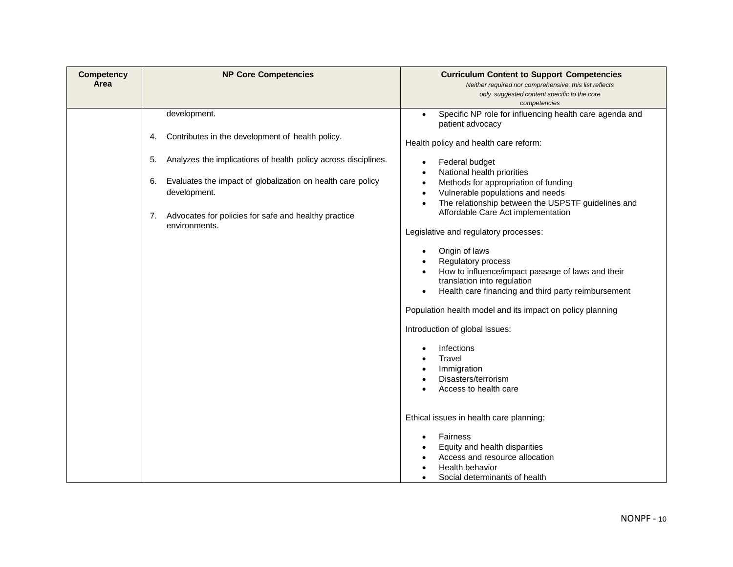| <b>Competency</b><br>Area | <b>NP Core Competencies</b>                                                       | <b>Curriculum Content to Support Competencies</b><br>Neither required nor comprehensive, this list reflects<br>only suggested content specific to the core<br>competencies |
|---------------------------|-----------------------------------------------------------------------------------|----------------------------------------------------------------------------------------------------------------------------------------------------------------------------|
|                           | development.                                                                      | Specific NP role for influencing health care agenda and<br>$\bullet$<br>patient advocacy                                                                                   |
|                           | Contributes in the development of health policy.<br>4.                            | Health policy and health care reform:                                                                                                                                      |
|                           | Analyzes the implications of health policy across disciplines.<br>5.              | Federal budget<br>$\bullet$<br>National health priorities                                                                                                                  |
|                           | Evaluates the impact of globalization on health care policy<br>6.<br>development. | Methods for appropriation of funding<br>Vulnerable populations and needs                                                                                                   |
|                           | Advocates for policies for safe and healthy practice<br>7.<br>environments.       | The relationship between the USPSTF guidelines and<br>$\bullet$<br>Affordable Care Act implementation                                                                      |
|                           |                                                                                   | Legislative and regulatory processes:                                                                                                                                      |
|                           |                                                                                   | Origin of laws<br>Regulatory process                                                                                                                                       |
|                           |                                                                                   | How to influence/impact passage of laws and their<br>translation into regulation                                                                                           |
|                           |                                                                                   | Health care financing and third party reimbursement<br>$\bullet$                                                                                                           |
|                           |                                                                                   | Population health model and its impact on policy planning                                                                                                                  |
|                           |                                                                                   | Introduction of global issues:                                                                                                                                             |
|                           |                                                                                   | Infections<br>Travel                                                                                                                                                       |
|                           |                                                                                   | Immigration<br>Disasters/terrorism                                                                                                                                         |
|                           |                                                                                   | Access to health care                                                                                                                                                      |
|                           |                                                                                   | Ethical issues in health care planning:                                                                                                                                    |
|                           |                                                                                   | Fairness<br>$\bullet$                                                                                                                                                      |
|                           |                                                                                   | Access and resource allocation                                                                                                                                             |
|                           |                                                                                   | Health behavior                                                                                                                                                            |
|                           |                                                                                   | Equity and health disparities<br>Social determinants of health                                                                                                             |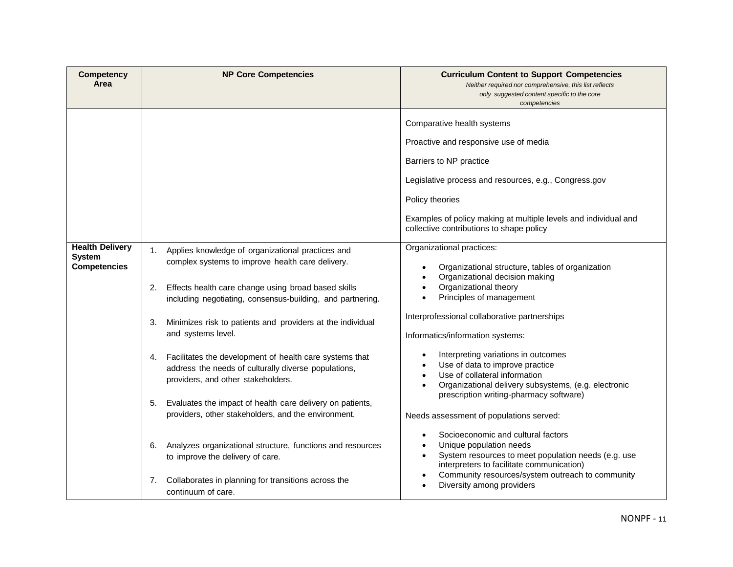| <b>Competency</b><br>Area                                      | <b>NP Core Competencies</b>                                                                                                                                                                                                                                                                                                                                                                                                                                                                                                                                                                                                                                                                                                                                                                                       | <b>Curriculum Content to Support Competencies</b><br>Neither required nor comprehensive, this list reflects<br>only suggested content specific to the core<br>competencies                                                                                                                                                                                                                                                                                                                                                                                                                                                                                                                                                                                                                                                                                                                        |
|----------------------------------------------------------------|-------------------------------------------------------------------------------------------------------------------------------------------------------------------------------------------------------------------------------------------------------------------------------------------------------------------------------------------------------------------------------------------------------------------------------------------------------------------------------------------------------------------------------------------------------------------------------------------------------------------------------------------------------------------------------------------------------------------------------------------------------------------------------------------------------------------|---------------------------------------------------------------------------------------------------------------------------------------------------------------------------------------------------------------------------------------------------------------------------------------------------------------------------------------------------------------------------------------------------------------------------------------------------------------------------------------------------------------------------------------------------------------------------------------------------------------------------------------------------------------------------------------------------------------------------------------------------------------------------------------------------------------------------------------------------------------------------------------------------|
|                                                                |                                                                                                                                                                                                                                                                                                                                                                                                                                                                                                                                                                                                                                                                                                                                                                                                                   | Comparative health systems<br>Proactive and responsive use of media<br>Barriers to NP practice<br>Legislative process and resources, e.g., Congress.gov<br>Policy theories<br>Examples of policy making at multiple levels and individual and<br>collective contributions to shape policy                                                                                                                                                                                                                                                                                                                                                                                                                                                                                                                                                                                                         |
| <b>Health Delivery</b><br><b>System</b><br><b>Competencies</b> | 1. Applies knowledge of organizational practices and<br>complex systems to improve health care delivery.<br>Effects health care change using broad based skills<br>2.<br>including negotiating, consensus-building, and partnering.<br>Minimizes risk to patients and providers at the individual<br>3.<br>and systems level.<br>Facilitates the development of health care systems that<br>4.<br>address the needs of culturally diverse populations,<br>providers, and other stakeholders.<br>Evaluates the impact of health care delivery on patients,<br>5.<br>providers, other stakeholders, and the environment.<br>Analyzes organizational structure, functions and resources<br>6.<br>to improve the delivery of care.<br>Collaborates in planning for transitions across the<br>7.<br>continuum of care. | Organizational practices:<br>Organizational structure, tables of organization<br>Organizational decision making<br>$\bullet$<br>Organizational theory<br>$\bullet$<br>Principles of management<br>$\bullet$<br>Interprofessional collaborative partnerships<br>Informatics/information systems:<br>Interpreting variations in outcomes<br>٠<br>Use of data to improve practice<br>$\bullet$<br>Use of collateral information<br>$\bullet$<br>Organizational delivery subsystems, (e.g. electronic<br>$\bullet$<br>prescription writing-pharmacy software)<br>Needs assessment of populations served:<br>Socioeconomic and cultural factors<br>$\bullet$<br>Unique population needs<br>$\bullet$<br>System resources to meet population needs (e.g. use<br>$\bullet$<br>interpreters to facilitate communication)<br>Community resources/system outreach to community<br>Diversity among providers |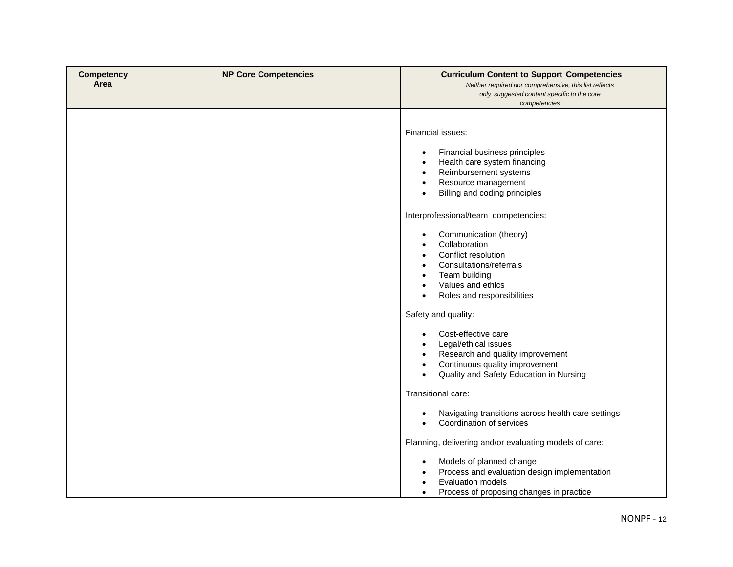| <b>Competency</b><br>Area | <b>NP Core Competencies</b> | <b>Curriculum Content to Support Competencies</b><br>Neither required nor comprehensive, this list reflects<br>only suggested content specific to the core                              |
|---------------------------|-----------------------------|-----------------------------------------------------------------------------------------------------------------------------------------------------------------------------------------|
|                           |                             | competencies                                                                                                                                                                            |
|                           |                             | Financial issues:<br>Financial business principles<br>Health care system financing                                                                                                      |
|                           |                             | Reimbursement systems<br>Resource management<br>٠<br>Billing and coding principles<br>$\bullet$                                                                                         |
|                           |                             | Interprofessional/team competencies:                                                                                                                                                    |
|                           |                             | Communication (theory)<br>$\bullet$<br>Collaboration<br>Conflict resolution<br>Consultations/referrals<br>Team building<br>Values and ethics<br>Roles and responsibilities<br>$\bullet$ |
|                           |                             | Safety and quality:                                                                                                                                                                     |
|                           |                             | Cost-effective care<br>Legal/ethical issues<br>Research and quality improvement<br>Continuous quality improvement<br>$\bullet$<br>Quality and Safety Education in Nursing<br>$\bullet$  |
|                           |                             | Transitional care:                                                                                                                                                                      |
|                           |                             | Navigating transitions across health care settings<br>Coordination of services<br>$\bullet$                                                                                             |
|                           |                             | Planning, delivering and/or evaluating models of care:                                                                                                                                  |
|                           |                             | Models of planned change<br>Process and evaluation design implementation<br><b>Evaluation models</b><br>Process of proposing changes in practice<br>$\bullet$                           |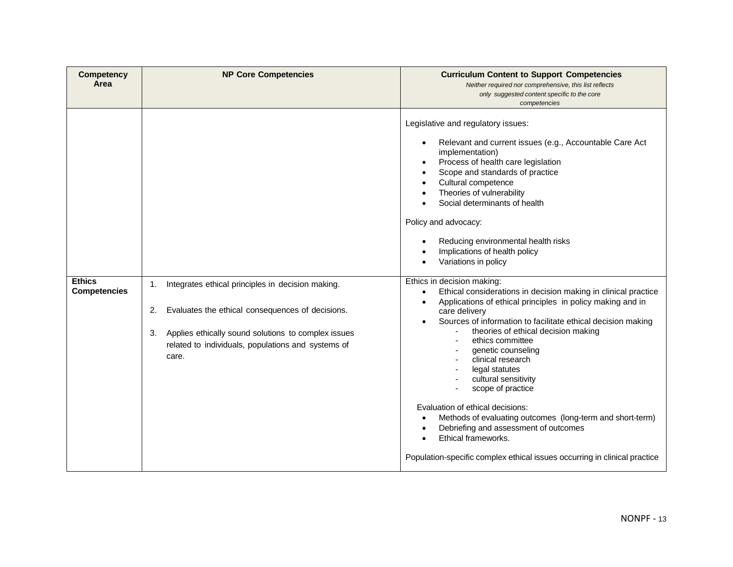| <b>Competency</b><br>Area | <b>NP Core Competencies</b>                                                                                                                                                        | <b>Curriculum Content to Support Competencies</b><br>Neither required nor comprehensive, this list reflects<br>only suggested content specific to the core<br>competencies                                                                                                                                                                                                                                                                                                                                                                                                                                                                                                           |
|---------------------------|------------------------------------------------------------------------------------------------------------------------------------------------------------------------------------|--------------------------------------------------------------------------------------------------------------------------------------------------------------------------------------------------------------------------------------------------------------------------------------------------------------------------------------------------------------------------------------------------------------------------------------------------------------------------------------------------------------------------------------------------------------------------------------------------------------------------------------------------------------------------------------|
| <b>Ethics</b>             | Integrates ethical principles in decision making.<br>1.                                                                                                                            | Legislative and regulatory issues:<br>Relevant and current issues (e.g., Accountable Care Act<br>$\bullet$<br>implementation)<br>Process of health care legislation<br>Scope and standards of practice<br>Cultural competence<br>Theories of vulnerability<br>Social determinants of health<br>Policy and advocacy:<br>Reducing environmental health risks<br>Implications of health policy<br>Variations in policy<br>Ethics in decision making:                                                                                                                                                                                                                                    |
| <b>Competencies</b>       | Evaluates the ethical consequences of decisions.<br>2.<br>Applies ethically sound solutions to complex issues<br>3.<br>related to individuals, populations and systems of<br>care. | Ethical considerations in decision making in clinical practice<br>$\bullet$<br>Applications of ethical principles in policy making and in<br>$\bullet$<br>care delivery<br>Sources of information to facilitate ethical decision making<br>$\bullet$<br>theories of ethical decision making<br>ethics committee<br>genetic counseling<br>clinical research<br>legal statutes<br>cultural sensitivity<br>scope of practice<br>Evaluation of ethical decisions:<br>Methods of evaluating outcomes (long-term and short-term)<br>Debriefing and assessment of outcomes<br>Ethical frameworks.<br>$\bullet$<br>Population-specific complex ethical issues occurring in clinical practice |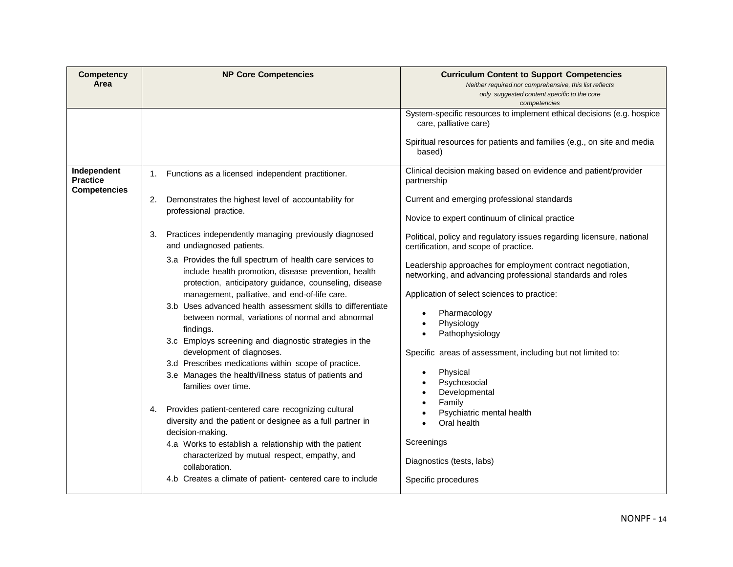| <b>Competency</b><br>Area              | <b>NP Core Competencies</b>                                                                                                                                                                                                                                                                                                                                                                                                                                                                                                                                                                                                                                                                                                                                                                                                                                                                                                                                                                                                        | <b>Curriculum Content to Support Competencies</b><br>Neither required nor comprehensive, this list reflects<br>only suggested content specific to the core<br>competencies                                                                                                                                                                                                                                                                                                                                                                                                                                                                      |
|----------------------------------------|------------------------------------------------------------------------------------------------------------------------------------------------------------------------------------------------------------------------------------------------------------------------------------------------------------------------------------------------------------------------------------------------------------------------------------------------------------------------------------------------------------------------------------------------------------------------------------------------------------------------------------------------------------------------------------------------------------------------------------------------------------------------------------------------------------------------------------------------------------------------------------------------------------------------------------------------------------------------------------------------------------------------------------|-------------------------------------------------------------------------------------------------------------------------------------------------------------------------------------------------------------------------------------------------------------------------------------------------------------------------------------------------------------------------------------------------------------------------------------------------------------------------------------------------------------------------------------------------------------------------------------------------------------------------------------------------|
| Independent                            |                                                                                                                                                                                                                                                                                                                                                                                                                                                                                                                                                                                                                                                                                                                                                                                                                                                                                                                                                                                                                                    | System-specific resources to implement ethical decisions (e.g. hospice<br>care, palliative care)<br>Spiritual resources for patients and families (e.g., on site and media<br>based)<br>Clinical decision making based on evidence and patient/provider                                                                                                                                                                                                                                                                                                                                                                                         |
| <b>Practice</b><br><b>Competencies</b> | Functions as a licensed independent practitioner.<br>1.<br>Demonstrates the highest level of accountability for<br>2.<br>professional practice.                                                                                                                                                                                                                                                                                                                                                                                                                                                                                                                                                                                                                                                                                                                                                                                                                                                                                    | partnership<br>Current and emerging professional standards<br>Novice to expert continuum of clinical practice                                                                                                                                                                                                                                                                                                                                                                                                                                                                                                                                   |
|                                        | Practices independently managing previously diagnosed<br>3.<br>and undiagnosed patients.<br>3.a Provides the full spectrum of health care services to<br>include health promotion, disease prevention, health<br>protection, anticipatory guidance, counseling, disease<br>management, palliative, and end-of-life care.<br>3.b Uses advanced health assessment skills to differentiate<br>between normal, variations of normal and abnormal<br>findings.<br>3.c Employs screening and diagnostic strategies in the<br>development of diagnoses.<br>3.d Prescribes medications within scope of practice.<br>3.e Manages the health/illness status of patients and<br>families over time.<br>Provides patient-centered care recognizing cultural<br>4.<br>diversity and the patient or designee as a full partner in<br>decision-making.<br>4.a Works to establish a relationship with the patient<br>characterized by mutual respect, empathy, and<br>collaboration.<br>4.b Creates a climate of patient- centered care to include | Political, policy and regulatory issues regarding licensure, national<br>certification, and scope of practice.<br>Leadership approaches for employment contract negotiation,<br>networking, and advancing professional standards and roles<br>Application of select sciences to practice:<br>Pharmacology<br>$\bullet$<br>Physiology<br>Pathophysiology<br>Specific areas of assessment, including but not limited to:<br>Physical<br>$\bullet$<br>Psychosocial<br>$\bullet$<br>Developmental<br>$\bullet$<br>Family<br>Psychiatric mental health<br>Oral health<br>$\bullet$<br>Screenings<br>Diagnostics (tests, labs)<br>Specific procedures |